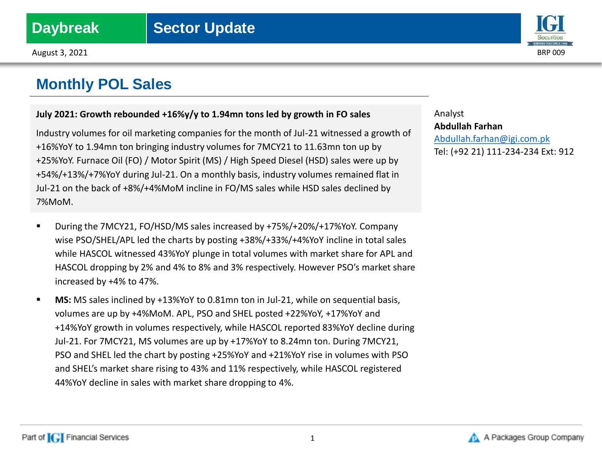

### **July 2021: Growth rebounded +16%y/y to 1.94mn tons led by growth in FO sales**

Industry volumes for oil marketing companies for the month of Jul-21 witnessed a growth of +16%YoY to 1.94mn ton bringing industry volumes for 7MCY21 to 11.63mn ton up by +25%YoY. Furnace Oil (FO) / Motor Spirit (MS) / High Speed Diesel (HSD) sales were up by +54%/+13%/+7%YoY during Jul-21. On a monthly basis, industry volumes remained flat in Jul-21 on the back of +8%/+4%MoM incline in FO/MS sales while HSD sales declined by 7%MoM.

- During the 7MCY21, FO/HSD/MS sales increased by +75%/+20%/+17%YoY. Company wise PSO/SHEL/APL led the charts by posting +38%/+33%/+4%YoY incline in total sales while HASCOL witnessed 43%YoY plunge in total volumes with market share for APL and HASCOL dropping by 2% and 4% to 8% and 3% respectively. However PSO's market share increased by +4% to 47%.
- **MS:** MS sales inclined by +13%YoY to 0.81mn ton in Jul-21, while on sequential basis, volumes are up by +4%MoM. APL, PSO and SHEL posted +22%YoY, +17%YoY and +14%YoY growth in volumes respectively, while HASCOL reported 83%YoY decline during Jul-21. For 7MCY21, MS volumes are up by +17%YoY to 8.24mn ton. During 7MCY21, PSO and SHEL led the chart by posting +25%YoY and +21%YoY rise in volumes with PSO and SHEL's market share rising to 43% and 11% respectively, while HASCOL registered 44%YoY decline in sales with market share dropping to 4%.



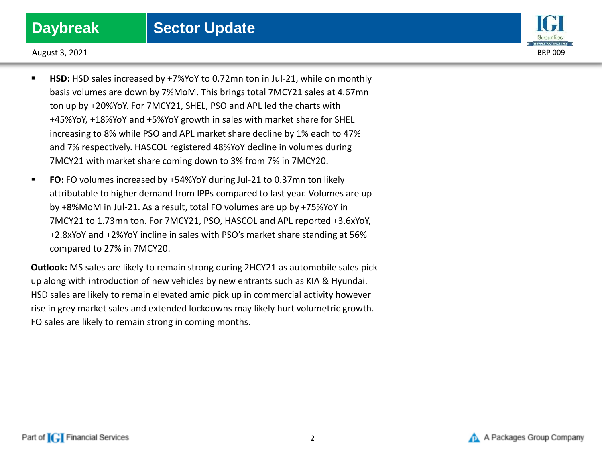

August 3, 2021 BRP 009

- **HSD:** HSD sales increased by +7%YoY to 0.72mn ton in Jul-21, while on monthly basis volumes are down by 7%MoM. This brings total 7MCY21 sales at 4.67mn ton up by +20%YoY. For 7MCY21, SHEL, PSO and APL led the charts with +45%YoY, +18%YoY and +5%YoY growth in sales with market share for SHEL increasing to 8% while PSO and APL market share decline by 1% each to 47% and 7% respectively. HASCOL registered 48%YoY decline in volumes during 7MCY21 with market share coming down to 3% from 7% in 7MCY20.
- **FO:** FO volumes increased by +54%YoY during Jul-21 to 0.37mn ton likely attributable to higher demand from IPPs compared to last year. Volumes are up by +8%MoM in Jul-21. As a result, total FO volumes are up by +75%YoY in 7MCY21 to 1.73mn ton. For 7MCY21, PSO, HASCOL and APL reported +3.6xYoY, +2.8xYoY and +2%YoY incline in sales with PSO's market share standing at 56% compared to 27% in 7MCY20.

**Outlook:** MS sales are likely to remain strong during 2HCY21 as automobile sales pick up along with introduction of new vehicles by new entrants such as KIA & Hyundai. HSD sales are likely to remain elevated amid pick up in commercial activity however rise in grey market sales and extended lockdowns may likely hurt volumetric growth. FO sales are likely to remain strong in coming months.

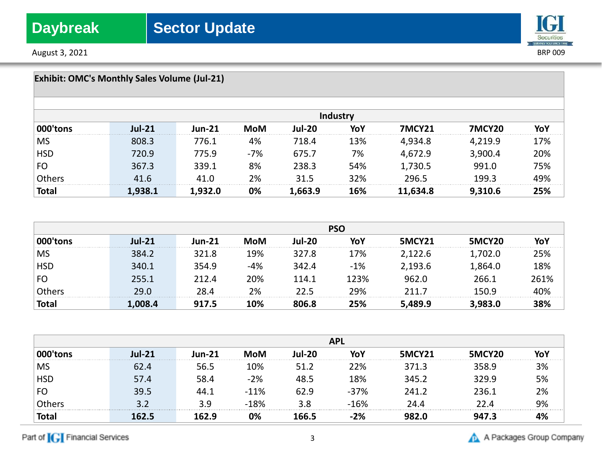August 3, 2021 **BRP 009** 

## **IGI** Securities

| <b>Exhibit: OMC's Monthly Sales Volume (Jul-21)</b> |          |               |            |               |                 |               |               |     |
|-----------------------------------------------------|----------|---------------|------------|---------------|-----------------|---------------|---------------|-----|
|                                                     |          |               |            |               | <b>Industry</b> |               |               |     |
| 000'tons                                            | $Jul-21$ | <b>Jun-21</b> | <b>MoM</b> | <b>Jul-20</b> | YoY             | <b>7MCY21</b> | <b>7MCY20</b> | YoY |
| <b>MS</b>                                           | 808.3    | 776.1         | 4%         | 718.4         | 13%             | 4,934.8       | 4,219.9       | 17% |
| <b>HSD</b>                                          | 720.9    | 775.9         | $-7%$      | 675.7         | 7%              | 4,672.9       | 3,900.4       | 20% |
| FO                                                  | 367.3    | 339.1         | 8%         | 238.3         | 54%             | 1,730.5       | 991.0         | 75% |
| Others                                              | 41.6     | 41.0          | 2%         | 31.5          | 32%             | 296.5         | 199.3         | 49% |
| <b>Total</b>                                        | 1,938.1  | 1,932.0       | 0%         | 1,663.9       | 16%             | 11,634.8      | 9,310.6       | 25% |

|              | <b>PSO</b> |        |     |               |       |               |         |      |
|--------------|------------|--------|-----|---------------|-------|---------------|---------|------|
| 000'tons     | $Jul-21$   | Jun-21 | MoM | <b>Jul-20</b> | YoY   | <b>5MCY21</b> | 5MCY20  |      |
| <b>MS</b>    | 384.2      | 321.8  | 19% | 327.8         | 17%   | 2,122.6       | l,702.0 | 25%  |
| <b>HSD</b>   | 340.1      | 354.9  | -4% | 342.4         | $-1%$ | 2,193.6       | 1,864.0 | 18%  |
| FO           | 255.1      | 212.4  | 20% | 114.1         | 123%  | 962.0         | 266.1   | 261% |
| Others       | 29 O       | 28.4   | 2%  | 22 5          | 29%   | 711 7         | 150.9   | 40%  |
| <b>Total</b> | .008.4     | 917.5  | 10% | 806.8         | 25%   | 5.489.9       | 3,983.0 | 38%  |

|            | <b>APL</b> |       |        |       |        |       |        |    |
|------------|------------|-------|--------|-------|--------|-------|--------|----|
|            | lul-21     |       |        |       |        | MCY21 | 5MCY20 | .  |
| <b>MS</b>  |            |       | 10%    | 51.2  | 22%    | 371.3 | 358.9  | 3% |
| <b>HSD</b> | 571        | 58.4  | $-2%$  | 48.5  | 18%    | 345.2 | 329.9  | 5% |
| <b>FO</b>  | 39.5       | 44.1  | $-11%$ | 62.9  | $-37%$ | 241.2 | 236.1  | 2% |
|            |            | 2 O   | $-18%$ |       | 16%    |       |        | 9% |
| iotal      | 162.5      | L62.9 |        | 166.5 |        |       |        | .  |

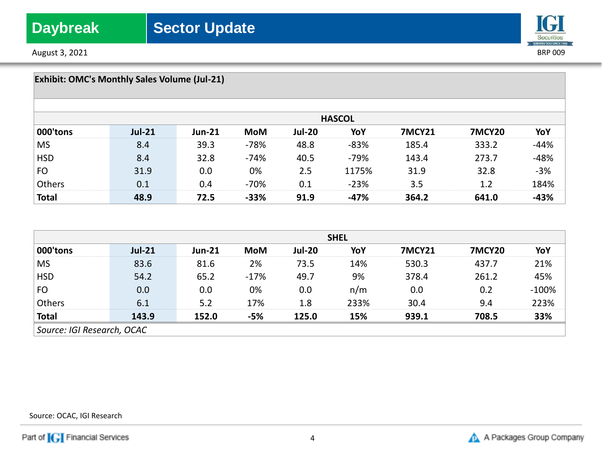August 3, 2021 BRP 009



| <b>Exhibit: OMC's Monthly Sales Volume (Jul-21)</b> |            |               |        |               |               |        |        |       |
|-----------------------------------------------------|------------|---------------|--------|---------------|---------------|--------|--------|-------|
|                                                     |            |               |        |               | <b>HASCOL</b> |        |        |       |
| 000'tons                                            | $\ln 1-21$ | <b>Jun-21</b> | MoM    | <b>Jul-20</b> | YoY           | 7MCY21 | 7MCY20 |       |
| <b>MS</b>                                           | 8.4        | 39.3          | $-78%$ | 48.8          | $-83%$        | 185.4  | 333.2  | 14%   |
| <b>HSD</b>                                          | 8.4        | 32.8          | $-74%$ | 40.5          | $-79%$        | 143.4  | 273.7  | -48%  |
| FO                                                  | 31.9       | 0.0           | 0%     | 2.5           | 1175%         | 31.9   | 32.8   | $-3%$ |
| Others                                              | 0.1        | 0.4           | $-70%$ | በ 1           | $-23%$        | 3.5    |        | 84%   |
| <b>Total</b>                                        | 48.9       | 72.5          | -33%   | 91.9          | -47%          | 364.2  | 641.0  |       |

|                            | <b>SHEL</b> |               |        |        |      |        |       |      |
|----------------------------|-------------|---------------|--------|--------|------|--------|-------|------|
|                            | $Jul-21$    | <b>Jun-21</b> | MoM    | Jul-20 | ΥიΥ  | 'MCY21 | ICY20 |      |
| <b>MS</b>                  |             | 81.6          | 2%     | 73.5   | L4%  | 530.3  | 437.7 | 21%  |
| <b>HSD</b>                 | 54.2        | 65.2          | $-17%$ | 49.7   | 9%   | 378.4  | 261.2 | 45%  |
| <b>FO</b>                  |             | 0.0           | 0%     | 0.0    | n/m  | 0.0    |       | 100% |
|                            |             | 52            | ı 7% i |        | ,२२% | 3N 4   |       | 223% |
| <b>Total</b>               | 143.9       | 152.0         |        | 125.0  | 15%  | 939.1  | 708.5 | 33%  |
| Source: IGI Research, OCAC |             |               |        |        |      |        |       |      |

Source: OCAC, IGI Research

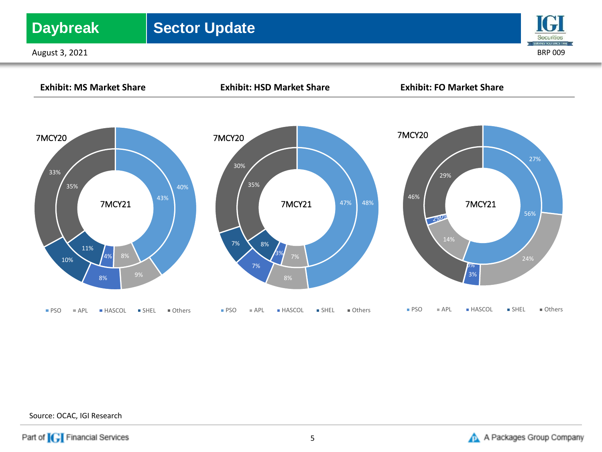## **Daybreak** | Sector Update

August 3, 2021 BRP 009





Source: OCAC, IGI Research

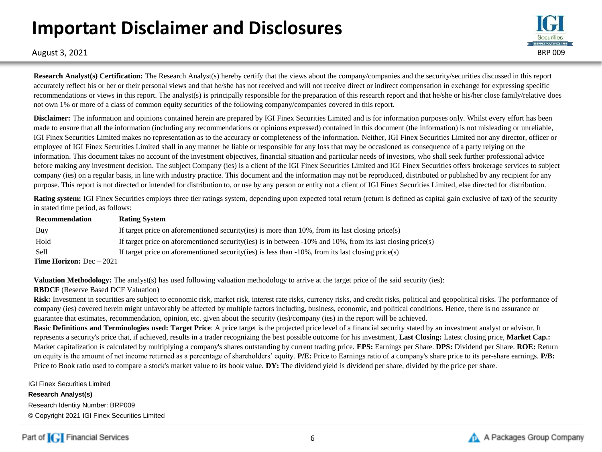# **Important Disclaimer and Disclosures**



August 3, 2021 BRP 009

**Research Analyst(s) Certification:** The Research Analyst(s) hereby certify that the views about the company/companies and the security/securities discussed in this report accurately reflect his or her or their personal views and that he/she has not received and will not receive direct or indirect compensation in exchange for expressing specific recommendations or views in this report. The analyst(s) is principally responsible for the preparation of this research report and that he/she or his/her close family/relative does not own 1% or more of a class of common equity securities of the following company/companies covered in this report.

**Disclaimer:** The information and opinions contained herein are prepared by IGI Finex Securities Limited and is for information purposes only. Whilst every effort has been made to ensure that all the information (including any recommendations or opinions expressed) contained in this document (the information) is not misleading or unreliable, IGI Finex Securities Limited makes no representation as to the accuracy or completeness of the information. Neither, IGI Finex Securities Limited nor any director, officer or employee of IGI Finex Securities Limited shall in any manner be liable or responsible for any loss that may be occasioned as consequence of a party relying on the information. This document takes no account of the investment objectives, financial situation and particular needs of investors, who shall seek further professional advice before making any investment decision. The subject Company (ies) is a client of the IGI Finex Securities Limited and IGI Finex Securities offers brokerage services to subject company (ies) on a regular basis, in line with industry practice. This document and the information may not be reproduced, distributed or published by any recipient for any purpose. This report is not directed or intended for distribution to, or use by any person or entity not a client of IGI Finex Securities Limited, else directed for distribution.

**Rating system:** IGI Finex Securities employs three tier ratings system, depending upon expected total return (return is defined as capital gain exclusive of tax) of the security in stated time period, as follows:

| Recommendation                    | <b>Rating System</b>                                                                                               |
|-----------------------------------|--------------------------------------------------------------------------------------------------------------------|
| Buy                               | If target price on aforementioned security (ies) is more than $10\%$ , from its last closing price (s)             |
| Hold                              | If target price on aforementioned security (ies) is in between $-10\%$ and $10\%$ , from its last closing price(s) |
| <b>Sell</b>                       | If target price on aforementioned security (ies) is less than $-10\%$ , from its last closing price (s)            |
| <b>Time Horizon:</b> $Dec - 2021$ |                                                                                                                    |

**Valuation Methodology:** The analyst(s) has used following valuation methodology to arrive at the target price of the said security (ies):

### **RBDCF** (Reserve Based DCF Valuation)

Risk: Investment in securities are subject to economic risk, market risk, interest rate risks, currency risks, and credit risks, political and geopolitical risks. The performance of company (ies) covered herein might unfavorably be affected by multiple factors including, business, economic, and political conditions. Hence, there is no assurance or guarantee that estimates, recommendation, opinion, etc. given about the security (ies)/company (ies) in the report will be achieved.

**Basic Definitions and Terminologies used: Target Price**: A price target is the projected price level of a financial security stated by an investment analyst or advisor. It represents a security's price that, if achieved, results in a trader recognizing the best possible outcome for his investment, **Last Closing:** Latest closing price, **Market Cap.:**  Market capitalization is calculated by multiplying a company's shares outstanding by current trading price. **EPS:** Earnings per Share. **DPS:** Dividend per Share. **ROE:** Return on equity is the amount of net income returned as a percentage of shareholders' equity. **P/E:** Price to Earnings ratio of a company's share price to its per-share earnings. **P/B:** Price to Book ratio used to compare a stock's market value to its book value. **DY:** The dividend yield is dividend per share, divided by the price per share.

IGI Finex Securities Limited

**Research Analyst(s)** Research Identity Number: BRP009

© Copyright 2021 IGI Finex Securities Limited